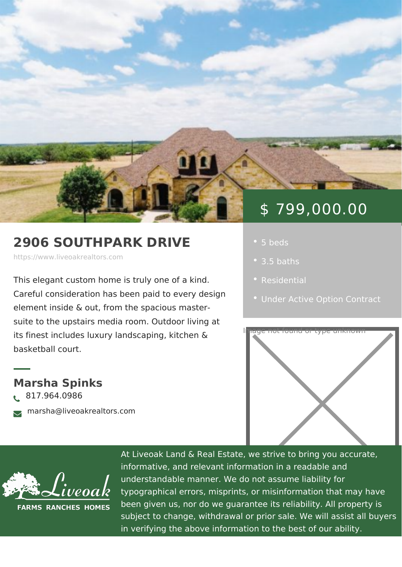## \$ 799,000.00

## 2906 SOUTHPARK DRIVE

https://www.liveoakrealtors.com

This elegant custom home is truly one c . [Residen](https://www.liveoakrealtors.com/es_category/residential/)tial Careful consideration has been paid to element inside & out, from the spacious

suite to the upstairs media room. Outdoor living at

its finest includes luxury landscaping, k tehen & cound or type unknown basketball court.

Marsha Spinks ð• 817.964.0986 ðà marsha@liveoakrealtors.com

- 
- $\bullet$  3.5 baths
- 
- [Under Active Option](https://www.liveoakrealtors.com/es_status/under-active-option-contract/) Cor



At Liveoak Land & Real Estate, we strive to brin informative, and relevant information in a reada understandable manner. We do not assume liabil typographical errors, misprints, or misinformatic been given us, nor do we guarantee its reliabilit subject to change, withdrawal or prior sale. We in verifying the above information to the best of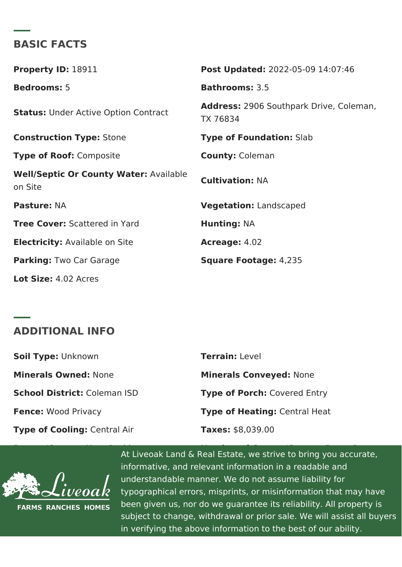## BASIC FACTS

Property ID: 8911 Post Update 022-05-09 14:07:46 Bedrooms5 Bathrooms3.5 StatusUnder Active Option Contract<br>TX 76834 Address2906 Southpark Drive, Cole Construction Type of Foundatibe hab Type of Roodomposite County Coleman Well/Septic Or County Watertable<br>CultivationNA on Site Pasture NA Vegetation Landscaped Tree Cove S: cattered in Yard Hunting NA Electricit Available on Site Acreage 4.02 Parking Two Car Garage Square Footaghe,:235 Lot Size4: 02 Acres

## ADDITIONAL INFO

| Soil TypeLnknown           | TerrainLevel                |
|----------------------------|-----------------------------|
| Minerals OwneMone          | Minerals Convey None        |
| School Districtaleman ISD  | Type of PorcChovered Entry  |
| Fence Wood Privacy         | Type of HeatinQgentral Heat |
| Type of CoolinCgentral Air | Taxes\$8,039.00             |

At Liveoak Land & Real Estate, we strive to bring and  $\alpha$  Real Estate, we strive to bring Type of Patio or Deck: Covered Back Patio Legal Description: Countryside South Addn informative, and relevant information in a readable and understandable manner. We do not assume liabil typographical errors, misprints, or misinformatio been given us, nor do we guarantee its reliabilit subject to change, withdrawal or prior sale. We in verifying the above information to the best of